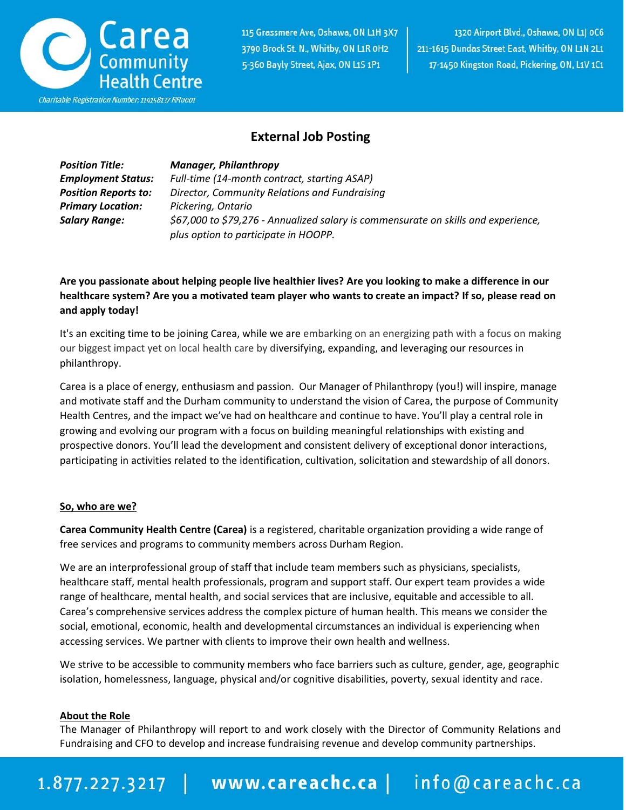

## **External Job Posting**

| <b>Position Title:</b>      | <b>Manager, Philanthropy</b>                                                       |
|-----------------------------|------------------------------------------------------------------------------------|
| <b>Employment Status:</b>   | Full-time (14-month contract, starting ASAP)                                       |
| <b>Position Reports to:</b> | Director, Community Relations and Fundraising                                      |
| <b>Primary Location:</b>    | Pickering, Ontario                                                                 |
| <b>Salary Range:</b>        | \$67,000 to \$79,276 - Annualized salary is commensurate on skills and experience, |
|                             | plus option to participate in HOOPP.                                               |

### **Are you passionate about helping people live healthier lives? Are you looking to make a difference in our healthcare system? Are you a motivated team player who wants to create an impact? If so, please read on and apply today!**

It's an exciting time to be joining Carea, while we are embarking on an energizing path with a focus on making our biggest impact yet on local health care by diversifying, expanding, and leveraging our resources in philanthropy.

Carea is a place of energy, enthusiasm and passion. Our Manager of Philanthropy (you!) will inspire, manage and motivate staff and the Durham community to understand the vision of Carea, the purpose of Community Health Centres, and the impact we've had on healthcare and continue to have. You'll play a central role in growing and evolving our program with a focus on building meaningful relationships with existing and prospective donors. You'll lead the development and consistent delivery of exceptional donor interactions, participating in activities related to the identification, cultivation, solicitation and stewardship of all donors.

### **So, who are we?**

**Carea Community Health Centre (Carea)** is a registered, charitable organization providing a wide range of free services and programs to community members across Durham Region.

We are an interprofessional group of staff that include team members such as physicians, specialists, healthcare staff, mental health professionals, program and support staff. Our expert team provides a wide range of healthcare, mental health, and social services that are inclusive, equitable and accessible to all. Carea's comprehensive services address the complex picture of human health. This means we consider the social, emotional, economic, health and developmental circumstances an individual is experiencing when accessing services. We partner with clients to improve their own health and wellness.

We strive to be accessible to community members who face barriers such as culture, gender, age, geographic isolation, homelessness, language, physical and/or cognitive disabilities, poverty, sexual identity and race.

### **About the Role**

The Manager of Philanthropy will report to and work closely with the Director of Community Relations and Fundraising and CFO to develop and increase fundraising revenue and develop community partnerships.

## 1.877.227.3217 | www.careachc.ca | info@careachc.ca